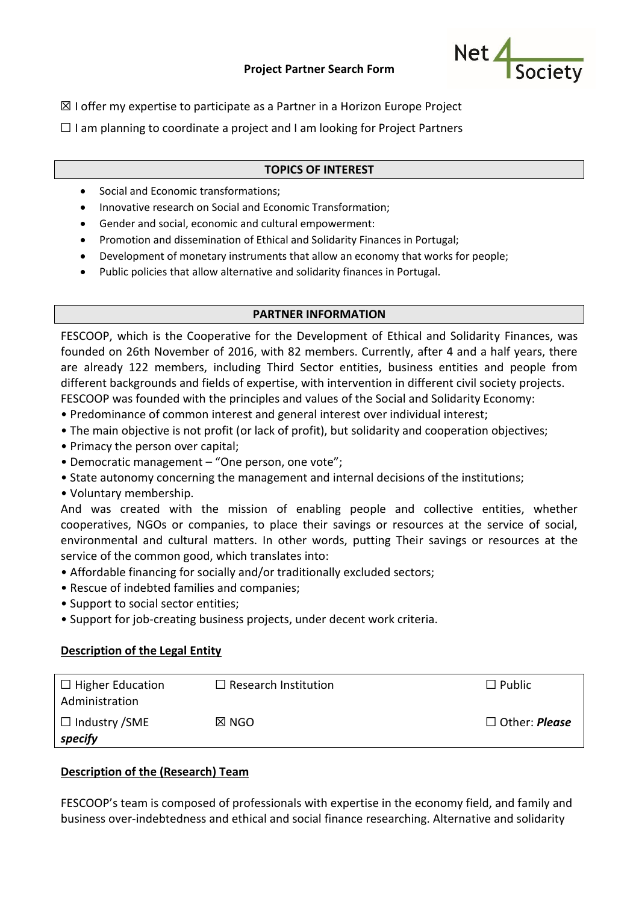

 $\boxtimes$  I offer my expertise to participate as a Partner in a Horizon Europe Project

 $\Box$  I am planning to coordinate a project and I am looking for Project Partners

## **TOPICS OF INTEREST**

- Social and Economic transformations;
- Innovative research on Social and Economic Transformation;
- Gender and social, economic and cultural empowerment:
- Promotion and dissemination of Ethical and Solidarity Finances in Portugal;
- Development of monetary instruments that allow an economy that works for people;
- Public policies that allow alternative and solidarity finances in Portugal.

#### **PARTNER INFORMATION**

FESCOOP, which is the Cooperative for the Development of Ethical and Solidarity Finances, was founded on 26th November of 2016, with 82 members. Currently, after 4 and a half years, there are already 122 members, including Third Sector entities, business entities and people from different backgrounds and fields of expertise, with intervention in different civil society projects. FESCOOP was founded with the principles and values of the Social and Solidarity Economy:

- Predominance of common interest and general interest over individual interest;
- The main objective is not profit (or lack of profit), but solidarity and cooperation objectives;
- Primacy the person over capital;
- Democratic management "One person, one vote";
- State autonomy concerning the management and internal decisions of the institutions;
- Voluntary membership.

And was created with the mission of enabling people and collective entities, whether cooperatives, NGOs or companies, to place their savings or resources at the service of social, environmental and cultural matters. In other words, putting Their savings or resources at the service of the common good, which translates into:

- Affordable financing for socially and/or traditionally excluded sectors;
- Rescue of indebted families and companies;
- Support to social sector entities;
- Support for job-creating business projects, under decent work criteria.

#### **Description of the Legal Entity**

| $\Box$ Higher Education<br>Administration | $\Box$ Research Institution | $\Box$ Public           |
|-------------------------------------------|-----------------------------|-------------------------|
| $\Box$ Industry /SME<br>specify           | $\boxtimes$ NGO             | $\square$ Other: Please |

## **Description of the (Research) Team**

FESCOOP's team is composed of professionals with expertise in the economy field, and family and business over-indebtedness and ethical and social finance researching. Alternative and solidarity